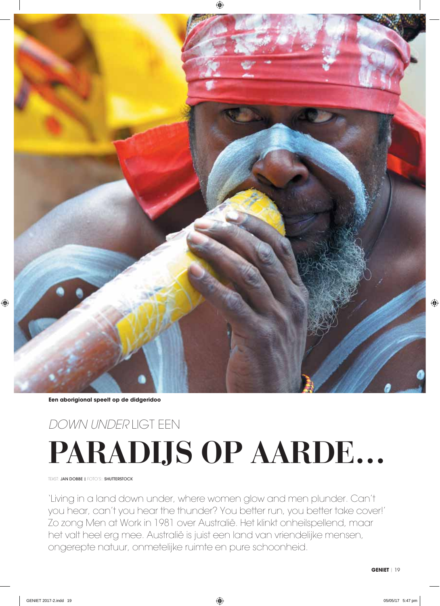

**Een aborigional speelt op de didgeridoo**

# **PARADIJS OP AARDE...** DOWN UNDER LIGT EEN

TEKST: JAN DOBBE I FOTO'S:: SHUTTERSTOCK

'Living in a land down under, where women glow and men plunder. Can't you hear, can't you hear the thunder? You better run, you better take cover!' Zo zong Men at Work in 1981 over Australië. Het klinkt onheilspellend, maar het valt heel erg mee. Australië is juist een land van vriendelijke mensen, ongerepte natuur, onmetelijke ruimte en pure schoonheid.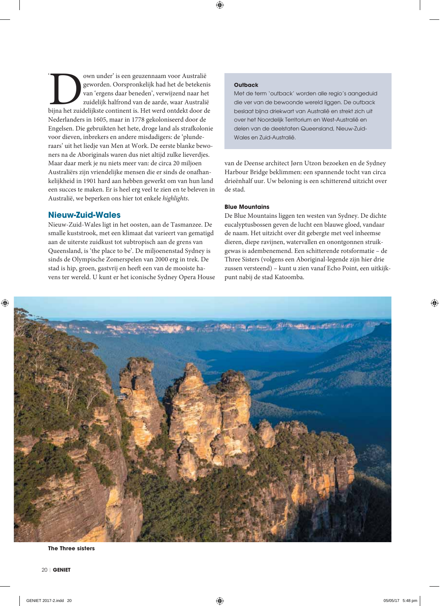own under' is een geuzennaam voor Australië geworden. Oorspronkelijk had het de betekenis van 'ergens daar beneden', verwijzend naar het zuidelijk halfrond van de aarde, waar Australië bijna het zuidelijkste continent is. Het werd ontdekt door de Nederlanders in 1605, maar in 1778 gekoloniseerd door de Engelsen. Die gebruikten het hete, droge land als strafkolonie voor dieven, inbrekers en andere misdadigers: de 'plunderaars' uit het liedje van Men at Work. De eerste blanke bewoners na de Aboriginals waren dus niet altijd zulke lieverdjes. Maar daar merk je nu niets meer van: de circa 20 miljoen Australiërs zijn vriendelijke mensen die er sinds de onafhankelijkheid in 1901 hard aan hebben gewerkt om van hun land een succes te maken. Er is heel erg veel te zien en te beleven in Australië, we beperken ons hier tot enkele highlights.

# **Nieuw-Zuid-Wales**

Nieuw-Zuid-Wales ligt in het oosten, aan de Tasmanzee. De smalle kuststrook, met een klimaat dat varieert van gematigd aan de uiterste zuidkust tot subtropisch aan de grens van Queensland, is 'the place to be'. De miljoenenstad Sydney is sinds de Olympische Zomerspelen van 2000 erg in trek. De stad is hip, groen, gastvrij en heeft een van de mooiste havens ter wereld. U kunt er het iconische Sydney Opera House

## **Outback**

Met de term 'outback' worden alle regio's aangeduid die ver van de bewoonde wereld liggen. De outback beslaat bijna driekwart van Australië en strekt zich uit over het Noordelijk Territorium en West-Australië en delen van de deelstaten Queensland, Nieuw-Zuid-Wales en Zuid-Australië.

van de Deense architect Jørn Utzon bezoeken en de Sydney Harbour Bridge beklimmen: een spannende tocht van circa drieënhalf uur. Uw beloning is een schitterend uitzicht over de stad.

# **Blue Mountains**

De Blue Mountains liggen ten westen van Sydney. De dichte eucalyptusbossen geven de lucht een blauwe gloed, vandaar de naam. Het uitzicht over dit gebergte met veel inheemse dieren, diepe ravijnen, watervallen en onontgonnen struikgewas is adembenemend. Een schitterende rotsformatie - de Three Sisters (volgens een Aboriginal-legende zijn hier drie zussen versteend) - kunt u zien vanaf Echo Point, een uitkijkpunt nabii de stad Katoomba.



**The Three sisters**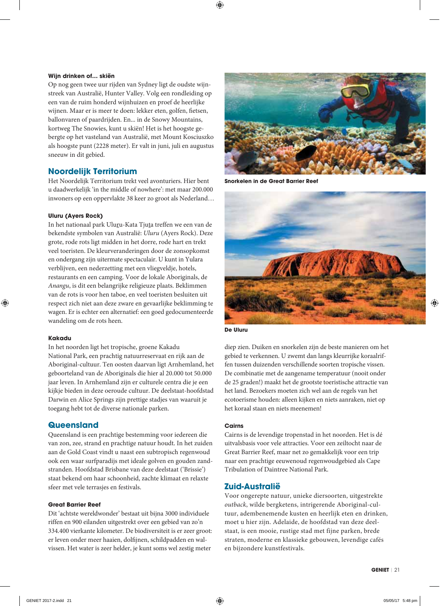## Wijn drinken of... skiën

Op nog geen twee uur rijden van Sydney ligt de oudste wijnstreek van Australië, Hunter Valley. Volg een rondleiding op een van de ruim honderd wijnhuizen en proef de heerlijke wijnen. Maar er is meer te doen: lekker eten, golfen, fietsen, ballonvaren of paardrijden. En... in de Snowy Mountains, kortweg The Snowies, kunt u skiën! Het is het hoogste gebergte op het vasteland van Australië, met Mount Kosciuszko als hoogste punt (2228 meter). Er valt in juni, juli en augustus sneeuw in dit gebied.

# **Noordelijk Territorium**

Het Noordelijk Territorium trekt veel avonturiers. Hier bent u daadwerkelijk 'in the middle of nowhere': met maar 200.000 inwoners op een oppervlakte 38 keer zo groot als Nederland...

# **Uluru (Ayers Rock)**

In het nationaal park Uluru-Kata Tjuta treffen we een van de bekendste symbolen van Australië: Uluru (Ayers Rock). Deze grote, rode rots ligt midden in het dorre, rode hart en trekt veel toeristen. De kleurveranderingen door de zonsopkomst en ondergang zijn uitermate spectaculair. U kunt in Yulara verblijven, een nederzetting met een vliegveldje, hotels, restaurants en een camping. Voor de lokale Aboriginals, de Anangu, is dit een belangrijke religieuze plaats. Beklimmen van de rots is voor hen taboe, en veel toeristen besluiten uit respect zich niet aan deze zware en gevaarlijke beklimming te wagen. Er is echter een alternatief: een goed gedocumenteerde wandeling om de rots heen.

# **Kakadu**

In het noorden ligt het tropische, groene Kakadu National Park, een prachtig natuurreservaat en rijk aan de Aboriginal-cultuur. Ten oosten daarvan ligt Arnhemland, het geboorteland van de Aboriginals die hier al 20.000 tot 50.000 jaar leven. In Arnhemland zijn er culturele centra die je een kijkje bieden in deze oeroude cultuur. De deelstaat-hoofdstad Darwin en Alice Springs zijn prettige stadjes van waaruit je toegang hebt tot de diverse nationale parken.

# **Queensland**

Queensland is een prachtige bestemming voor iedereen die van zon, zee, strand en prachtige natuur houdt. In het zuiden aan de Gold Coast vindt u naast een subtropisch regenwoud ook een waar surfparadijs met ideale golven en gouden zandstranden. Hoofdstad Brisbane van deze deelstaat ('Brissie') staat bekend om haar schoonheid, zachte klimaat en relaxte sfeer met vele terrasjes en festivals.

# **Great Barrier Reef**

Dit 'achtste wereldwonder' bestaat uit bijna 3000 individuele riffen en 900 eilanden uitgestrekt over een gebied van zo'n 334.400 vierkante kilometer. De biodiversiteit is er zeer groot: er leven onder meer haaien, dolfijnen, schildpadden en walvissen. Het water is zeer helder, je kunt soms wel zestig meter



Snorkelen in de Great Barrier Reef



**De Uluru** 

diep zien. Duiken en snorkelen zijn de beste manieren om het gebied te verkennen. U zwemt dan langs kleurrijke koraalriffen tussen duizenden verschillende soorten tropische vissen. De combinatie met de aangename temperatuur (nooit onder de 25 graden!) maakt het de grootste toeristische attractie van het land. Bezoekers moeten zich wel aan de regels van het ecotoerisme houden: alleen kijken en niets aanraken, niet op het koraal staan en niets meenemen!

# **Cairns**

Cairns is de levendige tropenstad in het noorden. Het is dé uitvalsbasis voor vele attracties. Voor een zeiltocht naar de Great Barrier Reef, maar net zo gemakkelijk voor een trip naar een prachtige eeuwenoud regenwoudgebied als Cape Tribulation of Daintree National Park.

# Zuid-Australië

Voor ongerepte natuur, unieke diersoorten, uitgestrekte outback, wilde bergketens, intrigerende Aboriginal-cultuur, adembenemende kusten en heerlijk eten en drinken, moet u hier zijn. Adelaide, de hoofdstad van deze deelstaat, is een mooie, rustige stad met fijne parken, brede straten, moderne en klassieke gebouwen, levendige cafés en bijzondere kunstfestivals.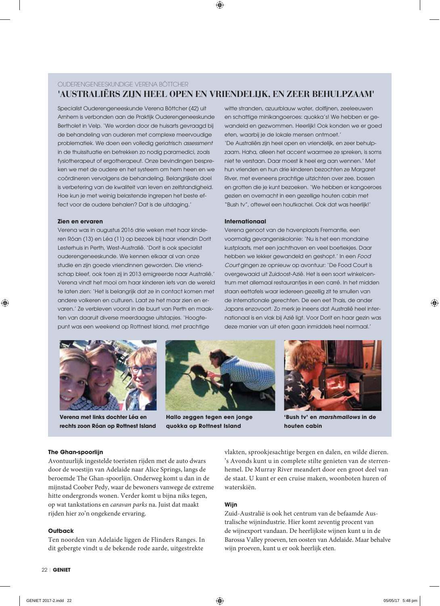# OUDERENGENEESKUNDIGE VERENA BÖTTCHER 'AUSTRALIËRS ZIJN HEEL OPEN EN VRIENDELIJK, EN ZEER BEHULPZAAM'

Specialist Ouderengeneeskunde Verena Böttcher (42) uit Arnhem is verbonden aan de Praktijk Ouderengeneeskunde Bertholet in Velp. 'We worden door de huisarts gevraagd bij de behandeling van ouderen met complexe meervoudige problematiek. We doen een volledig geriatrisch assessment in de thuissituatie en betrekken zo nodig paramedici, zoals fysiotherapeut of ergotherapeut. Onze bevindingen bespreken we met de oudere en het systeem om hem heen en we coördineren vervolgens de behandeling. Belangrijkste doel is verbetering van de kwaliteit van leven en zelfstandigheid. Hoe kun ie met weinig belastende ingrepen het beste effect voor de oudere behalen? Dat is de uitdaging.'

#### Zien en ervaren

Verena was in augustus 2016 drie weken met haar kinderen Róan (13) en Léa (11) op bezoek bij haar vriendin Dorit Lesterhuis in Perth, West-Australië. 'Dorit is ook specialist ouderengeneeskunde. We kennen elkaar al van onze studie en zijn goede vriendinnen geworden. Die vriendschap bleef, ook toen zij in 2013 emigreerde naar Australië.' Verena vindt het mooi om haar kinderen jets van de wereld te laten zien: 'Het is belangrijk dat ze in contact komen met andere volkeren en culturen. Laat ze het maar zien en ervaren.' Ze verbleven vooral in de buurt van Perth en maakten van daaruit diverse meerdaagse uitstapjes. 'Hoogtepunt was een weekend op Rottnest Island, met prachtige

witte stranden, azuurblauw water, dolfijnen, zeeleeuwen en schattige minikangoeroes: quokka's! We hebben er gewandeld en gezwommen. Heerlijk! Ook konden we er goed eten, waarbij je de lokale mensen ontmoet.' 'De Australiërs zijn heel open en vriendelijk, en zeer behulpzaam. Haha, alleen het accent waarmee ze spreken, is soms niet te verstaan. Daar moest ik heel erg aan wennen.' Met hun vrienden en hun drie kinderen bezochten ze Margaret River, met eveneens prachtige uitzichten over zee, bossen en grotten die je kunt bezoeken. 'We hebben er kangoeroes gezien en overnacht in een gezellige houten cabin met "Bush tv", oftewel een houtkachel. Ook dat was heerlijk!'

#### **Internationaal**

Verena aenoot van de havenplaats Fremantle, een voormalig gevangeniskolonie: 'Nu is het een mondaine kustplaats, met een jachthaven en veel boetiekjes. Daar hebben we lekker gewandeld en geshopt.' In een Food Court gingen ze opnieuw op avontuur: 'De Food Court is overgewaaid uit Zuidoost-Azië. Het is een soort winkelcentrum met allemaal restauranties in een carré. In het midden staan eettafels waar iedereen gezellig zit te smullen van de internationale gerechten. De een eet Thais, de ander Japans enzovoort. Zo merk je ineens dat Australië heel internationaal is en vlak bij Azië ligt. Voor Dorit en haar gezin was deze manier van uit eten gaan inmiddels heel normaal.'



Verena met links dochter Léa en rechts zoon Róan op Rottnest Island



Hallo zeggen tegen een jonge auokka op Rottnest Island



'Bush ty' en *marshmallows* in de houten cabin

#### **The Ghan-spoorliin**

Avontuurlijk ingestelde toeristen rijden met de auto dwars door de woestijn van Adelaide naar Alice Springs, langs de beroemde The Ghan-spoorlijn. Onderweg komt u dan in de mijnstad Coober Pedy, waar de bewoners vanwege de extreme hitte ondergronds wonen. Verder komt u bijna niks tegen, op wat tankstations en caravan parks na. Juist dat maakt rijden hier zo'n ongekende ervaring.

## Outback

Ten noorden van Adelaide liggen de Flinders Ranges. In dit gebergte vindt u de bekende rode aarde, uitgestrekte

vlakten, sprookjesachtige bergen en dalen, en wilde dieren. 's Avonds kunt u in complete stilte genieten van de sterrenhemel. De Murray River meandert door een groot deel van de staat. U kunt er een cruise maken, woonboten huren of waterskiën

# Wiin

Zuid-Australië is ook het centrum van de befaamde Australische wijnindustrie. Hier komt zeventig procent van de wijnexport vandaan. De heerlijkste wijnen kunt u in de Barossa Valley proeven, ten oosten van Adelaide. Maar behalve wijn proeven, kunt u er ook heerlijk eten.